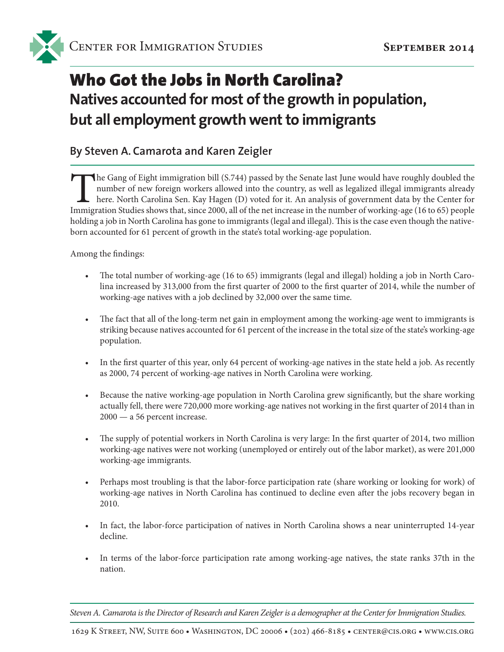# Who Got the Jobs in North Carolina? **Natives accounted for most of the growth in population, but all employment growth went to immigrants**

#### **By Steven A. Camarota and Karen Zeigler**

The Gang of Eight immigration bill (S.744) passed by the Senate last June would have roughly doubled the number of new foreign workers allowed into the country, as well as legalized illegal immigrants already here. North Carolina Sen. Kay Hagen (D) voted for it. An analysis of government data by the Center for Immigration Studies shows that, since 2000, all of the net increase in the number of working-age (16 to 65) people holding a job in North Carolina has gone to immigrants (legal and illegal). This is the case even though the nativeborn accounted for 61 percent of growth in the state's total working-age population.

Among the findings:

- The total number of working-age (16 to 65) immigrants (legal and illegal) holding a job in North Carolina increased by 313,000 from the first quarter of 2000 to the first quarter of 2014, while the number of working-age natives with a job declined by 32,000 over the same time.
- The fact that all of the long-term net gain in employment among the working-age went to immigrants is striking because natives accounted for 61 percent of the increase in the total size of the state's working-age population.
- In the first quarter of this year, only 64 percent of working-age natives in the state held a job. As recently as 2000, 74 percent of working-age natives in North Carolina were working.
- Because the native working-age population in North Carolina grew significantly, but the share working actually fell, there were 720,000 more working-age natives not working in the first quarter of 2014 than in 2000 — a 56 percent increase.
- The supply of potential workers in North Carolina is very large: In the first quarter of 2014, two million working-age natives were not working (unemployed or entirely out of the labor market), as were 201,000 working-age immigrants.
- Perhaps most troubling is that the labor-force participation rate (share working or looking for work) of working-age natives in North Carolina has continued to decline even after the jobs recovery began in 2010.
- In fact, the labor-force participation of natives in North Carolina shows a near uninterrupted 14-year decline.
- In terms of the labor-force participation rate among working-age natives, the state ranks 37th in the nation.

*Steven A. Camarota is the Director of Research and Karen Zeigler is a demographer at the Center for Immigration Studies.*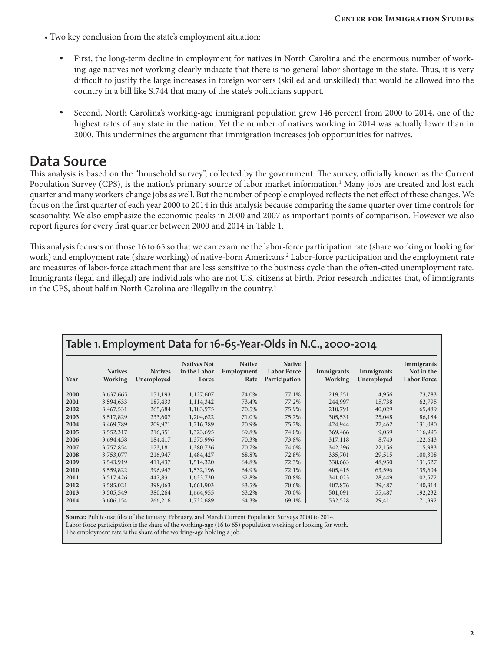- Two key conclusion from the state's employment situation:
	- First, the long-term decline in employment for natives in North Carolina and the enormous number of working-age natives not working clearly indicate that there is no general labor shortage in the state. Thus, it is very difficult to justify the large increases in foreign workers (skilled and unskilled) that would be allowed into the country in a bill like S.744 that many of the state's politicians support.
	- Second, North Carolina's working-age immigrant population grew 146 percent from 2000 to 2014, one of the highest rates of any state in the nation. Yet the number of natives working in 2014 was actually lower than in 2000. This undermines the argument that immigration increases job opportunities for natives.

### **Data Source**

This analysis is based on the "household survey", collected by the government. The survey, officially known as the Current Population Survey (CPS), is the nation's primary source of labor market information.1 Many jobs are created and lost each quarter and many workers change jobs as well. But the number of people employed reflects the net effect of these changes. We focus on the first quarter of each year 2000 to 2014 in this analysis because comparing the same quarter over time controls for seasonality. We also emphasize the economic peaks in 2000 and 2007 as important points of comparison. However we also report figures for every first quarter between 2000 and 2014 in Table 1.

This analysis focuses on those 16 to 65 so that we can examine the labor-force participation rate (share working or looking for work) and employment rate (share working) of native-born Americans.<sup>2</sup> Labor-force participation and the employment rate are measures of labor-force attachment that are less sensitive to the business cycle than the often-cited unemployment rate. Immigrants (legal and illegal) are individuals who are not U.S. citizens at birth. Prior research indicates that, of immigrants in the CPS, about half in North Carolina are illegally in the country.<sup>3</sup>

| Table 1. Employment Data for 16-65-Year-Olds in N.C., 2000-2014 |                                  |                              |                                             |                                     |                                                      |                              |                          |                                                |  |  |  |
|-----------------------------------------------------------------|----------------------------------|------------------------------|---------------------------------------------|-------------------------------------|------------------------------------------------------|------------------------------|--------------------------|------------------------------------------------|--|--|--|
| Year                                                            | <b>Natives</b><br><b>Working</b> | <b>Natives</b><br>Unemployed | <b>Natives Not</b><br>in the Labor<br>Force | <b>Native</b><br>Employment<br>Rate | <b>Native</b><br><b>Labor Force</b><br>Participation | Immigrants<br><b>Working</b> | Immigrants<br>Unemployed | Immigrants<br>Not in the<br><b>Labor Force</b> |  |  |  |
| 2000                                                            | 3,637,665                        | 151,193                      | 1,127,607                                   | 74.0%                               | 77.1%                                                | 219,351                      | 4,956                    | 73,783                                         |  |  |  |
| 2001                                                            | 3,594,633                        | 187,433                      | 1,114,342                                   | 73.4%                               | 77.2%                                                | 244,997                      | 15,738                   | 62,795                                         |  |  |  |
| 2002                                                            | 3,467,531                        | 265,684                      | 1,183,975                                   | 70.5%                               | 75.9%                                                | 210,791                      | 40,029                   | 65,489                                         |  |  |  |
| 2003                                                            | 3,517,829                        | 233,607                      | 1,204,622                                   | 71.0%                               | 75.7%                                                | 305,531                      | 25,048                   | 86,184                                         |  |  |  |
| 2004                                                            | 3,469,789                        | 209,971                      | 1,216,289                                   | 70.9%                               | 75.2%                                                | 424,944                      | 27,462                   | 131,080                                        |  |  |  |
| 2005                                                            | 3,552,317                        | 216,351                      | 1,323,695                                   | 69.8%                               | 74.0%                                                | 369,466                      | 9,039                    | 116,995                                        |  |  |  |
| 2006                                                            | 3,694,458                        | 184,417                      | 1,375,996                                   | 70.3%                               | 73.8%                                                | 317,118                      | 8,743                    | 122,643                                        |  |  |  |
| 2007                                                            | 3,757,854                        | 173,181                      | 1,380,736                                   | 70.7%                               | 74.0%                                                | 342,396                      | 22,156                   | 115,983                                        |  |  |  |
| 2008                                                            | 3,753,077                        | 216,947                      | 1,484,427                                   | 68.8%                               | 72.8%                                                | 335,701                      | 29,515                   | 100,308                                        |  |  |  |
| 2009                                                            | 3,543,919                        | 411,437                      | 1,514,320                                   | 64.8%                               | 72.3%                                                | 338,663                      | 48,950                   | 131,527                                        |  |  |  |
| 2010                                                            | 3,559,822                        | 396,947                      | 1,532,196                                   | 64.9%                               | 72.1%                                                | 405,415                      | 63,596                   | 139,604                                        |  |  |  |
| 2011                                                            | 3,517,426                        | 447,831                      | 1,633,730                                   | 62.8%                               | 70.8%                                                | 341,023                      | 28,449                   | 102,572                                        |  |  |  |
| 2012                                                            | 3,585,021                        | 398,063                      | 1,661,903                                   | 63.5%                               | 70.6%                                                | 407,876                      | 29,487                   | 140,314                                        |  |  |  |
| 2013                                                            | 3,505,549                        | 380,264                      | 1,664,955                                   | 63.2%                               | 70.0%                                                | 501,091                      | 55,487                   | 192,232                                        |  |  |  |
| 2014                                                            | 3,606,154                        | 266,216                      | 1,732,689                                   | 64.3%                               | 69.1%                                                | 532,528                      | 29,411                   | 171,392                                        |  |  |  |

**Source:** Public-use files of the January, February, and March Current Population Surveys 2000 to 2014.

Labor force participation is the share of the working-age (16 to 65) population working or looking for work.

The employment rate is the share of the working-age holding a job.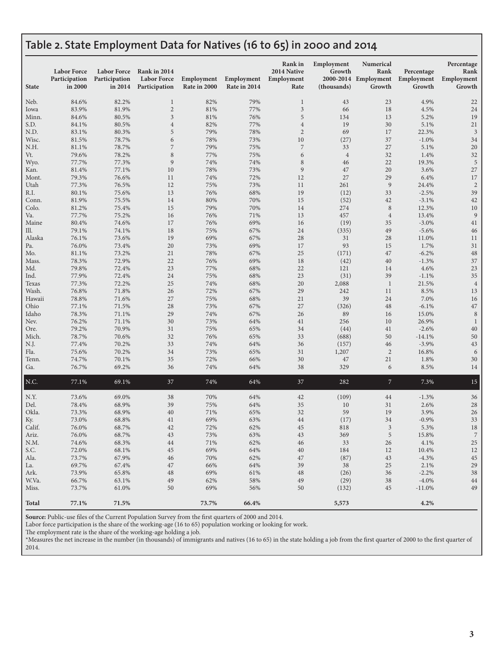#### **Table 2. State Employment Data for Natives (16 to 65) in 2000 and 2014**

| <b>State</b>  | <b>Labor Force</b><br>Participation<br>in 2000 | <b>Labor Force</b><br>Participation<br>in 2014 | Rank in 2014<br><b>Labor Force</b><br>Participation | Employment<br>Rate in 2000 | Employment<br>Rate in 2014 | Rank in<br>2014 Native<br>Employment<br>Rate | Employment<br>Growth<br>(thousands) | <b>Numerical</b><br>Rank<br>2000-2014 Employment<br>Growth | Percentage<br>Employment<br>Growth | Percentage<br>Rank<br>Employment<br>Growth |
|---------------|------------------------------------------------|------------------------------------------------|-----------------------------------------------------|----------------------------|----------------------------|----------------------------------------------|-------------------------------------|------------------------------------------------------------|------------------------------------|--------------------------------------------|
| Neb.          | 84.6%                                          | 82.2%                                          | $\mathbf{1}$                                        | 82%                        | 79%                        | $\mathbf{1}$                                 | 43                                  | 23                                                         | 4.9%                               | 22                                         |
| Iowa          | 83.9%                                          | 81.9%                                          | $\sqrt{2}$                                          | 81%                        | 77%                        | 3                                            | 66                                  | 18                                                         | 4.5%                               | 24                                         |
| Minn.         | 84.6%                                          | 80.5%                                          | 3                                                   | 81%                        | 76%                        | 5                                            | 134                                 | 13                                                         | 5.2%                               | 19                                         |
| S.D.          | 84.1%                                          | 80.5%                                          | $\overline{4}$                                      | 82%                        | 77%                        | $\overline{4}$                               | 19                                  | 30                                                         | 5.1%                               | $21\,$                                     |
| N.D.          | 83.1%                                          | 80.3%                                          | 5                                                   | 79%                        | 78%                        | $\overline{2}$                               | 69                                  | 17                                                         | 22.3%                              | 3                                          |
| Wisc.         | 81.5%                                          | 78.7%                                          | 6                                                   | 78%                        | 73%                        | 10                                           | (27)                                | 37                                                         | $-1.0%$                            | 34                                         |
| N.H.          | 81.1%                                          | 78.7%                                          | $\overline{\phantom{a}}$                            | 79%                        | 75%                        | $\overline{7}$                               | 33                                  | 27                                                         | 5.1%                               | 20                                         |
| Vt.           | 79.6%                                          | 78.2%                                          | 8                                                   | 77%                        | 75%                        | 6                                            | $\overline{4}$                      | 32                                                         | 1.4%                               | 32                                         |
| Wyo.          | 77.7%                                          | 77.3%                                          | 9                                                   | 74%                        | 74%                        | 8                                            | 46                                  | 22                                                         | 19.3%                              | 5                                          |
| Kan.          | 81.4%                                          | 77.1%                                          | 10                                                  | 78%                        | 73%                        | $\overline{9}$                               | 47                                  | 20                                                         | 3.6%                               | 27                                         |
| Mont.         | 79.3%                                          | 76.6%                                          | 11<br>12                                            | 74%                        | 72%                        | 12<br>11                                     | 27                                  | 29<br>$\boldsymbol{9}$                                     | 6.4%                               | 17<br>$\sqrt{2}$                           |
| Utah<br>R.I.  | 77.3%<br>80.1%                                 | 76.5%<br>75.6%                                 | 13                                                  | 75%<br>76%                 | 73%<br>68%                 | 19                                           | 261<br>(12)                         | 33                                                         | 24.4%<br>$-2.5%$                   | 39                                         |
| Conn.         | 81.9%                                          | 75.5%                                          | 14                                                  | 80%                        | 70%                        | 15                                           | (52)                                | 42                                                         | $-3.1%$                            | 42                                         |
| Colo.         | 81.2%                                          | 75.4%                                          | 15                                                  | 79%                        | 70%                        | 14                                           | 274                                 | $\,8\,$                                                    | 12.3%                              | 10                                         |
| Va.           | 77.7%                                          | 75.2%                                          | 16                                                  | 76%                        | 71%                        | 13                                           | 457                                 | $\,4\,$                                                    | 13.4%                              | $\overline{9}$                             |
| Maine         | 80.4%                                          | 74.6%                                          | 17                                                  | 76%                        | 69%                        | 16                                           | (19)                                | 35                                                         | $-3.0%$                            | 41                                         |
| Ill.          | 79.1%                                          | 74.1%                                          | 18                                                  | 75%                        | 67%                        | 24                                           | (335)                               | 49                                                         | $-5.6%$                            | 46                                         |
| Alaska        | 76.1%                                          | 73.6%                                          | 19                                                  | 69%                        | 67%                        | 28                                           | 31                                  | 28                                                         | 11.0%                              | 11                                         |
| Pa.           | 76.0%                                          | 73.4%                                          | 20                                                  | 73%                        | 69%                        | 17                                           | 93                                  | 15                                                         | 1.7%                               | 31                                         |
| Mo.           | 81.1%                                          | 73.2%                                          | 21                                                  | 78%                        | 67%                        | 25                                           | (171)                               | 47                                                         | $-6.2%$                            | $\rm 48$                                   |
| Mass.         | 78.3%                                          | 72.9%                                          | 22                                                  | 76%                        | 69%                        | 18                                           | (42)                                | 40                                                         | $-1.3%$                            | 37                                         |
| Md.           | 79.8%                                          | 72.4%                                          | 23                                                  | 77%                        | 68%                        | 22                                           | 121                                 | 14                                                         | 4.6%                               | 23                                         |
| Ind.          | 77.9%                                          | 72.4%                                          | 24                                                  | 75%                        | 68%                        | 23                                           | (31)                                | 39                                                         | $-1.1%$                            | 35                                         |
| Texas         | 77.3%                                          | 72.2%                                          | 25                                                  | 74%                        | 68%                        | 20                                           | 2,088                               | $\mathbf{1}$                                               | 21.5%                              | $\overline{4}$                             |
| Wash.         | 76.8%                                          | 71.8%                                          | 26                                                  | 72%                        | 67%                        | 29                                           | 242                                 | 11                                                         | 8.5%                               | 13                                         |
| Hawaii        | 78.8%                                          | 71.6%                                          | 27                                                  | 75%                        | 68%                        | 21                                           | 39                                  | 24                                                         | 7.0%                               | 16                                         |
| Ohio<br>Idaho | 77.1%<br>78.3%                                 | 71.5%                                          | 28<br>29                                            | 73%<br>74%                 | 67%<br>67%                 | 27<br>26                                     | (326)<br>89                         | 48                                                         | $-6.1%$<br>15.0%                   | 47<br>8                                    |
| Nev.          | 76.2%                                          | 71.1%<br>71.1%                                 | 30                                                  | 73%                        | 64%                        | 41                                           | 256                                 | 16<br>10                                                   | 26.9%                              | 1                                          |
| Ore.          | 79.2%                                          | 70.9%                                          | 31                                                  | 75%                        | 65%                        | 34                                           | (44)                                | 41                                                         | $-2.6%$                            | 40                                         |
| Mich.         | 78.7%                                          | 70.6%                                          | 32                                                  | 76%                        | 65%                        | 33                                           | (688)                               | 50                                                         | $-14.1%$                           | 50                                         |
| N.J.          | 77.4%                                          | 70.2%                                          | 33                                                  | 74%                        | 64%                        | 36                                           | (157)                               | 46                                                         | $-3.9%$                            | 43                                         |
| Fla.          | 75.6%                                          | 70.2%                                          | 34                                                  | 73%                        | 65%                        | 31                                           | 1,207                               | $\overline{2}$                                             | 16.8%                              | 6                                          |
| Tenn.         | 74.7%                                          | 70.1%                                          | 35                                                  | 72%                        | 66%                        | 30                                           | 47                                  | 21                                                         | 1.8%                               | 30                                         |
| Ga.           | 76.7%                                          | 69.2%                                          | 36                                                  | 74%                        | 64%                        | 38                                           | 329                                 | 6                                                          | 8.5%                               | 14                                         |
| $N.C.$        | 77.1%                                          | 69.1%                                          | 37                                                  | 74%                        | 64%                        | 37                                           | 282                                 | $\mathcal{I}$                                              | 7.3%                               | 15                                         |
| N.Y.          | 73.6%                                          | 69.0%                                          | 38                                                  | 70%                        | 64%                        | 42                                           | (109)                               | 44                                                         | $-1.3%$                            | 36                                         |
| Del.          | 78.4%                                          | 68.9%                                          | 39                                                  | 75%                        | 64%                        | 35                                           | 10                                  | 31                                                         | 2.6%                               | 28                                         |
| Okla.         | 73.3%                                          | 68.9%                                          | 40                                                  | 71%                        | 65%                        | 32                                           | 59                                  | 19                                                         | 3.9%                               | 26                                         |
| Ky.           | 73.0%                                          | 68.8%                                          | 41                                                  | 69%                        | 63%                        | 44                                           | (17)                                | 34                                                         | $-0.9%$                            | 33                                         |
| Calif.        | 76.0%                                          | 68.7%                                          | 42                                                  | 72%                        | 62%                        | 45                                           | 818                                 | $\mathbf{3}$                                               | 5.3%                               | 18                                         |
| Ariz.         | 76.0%                                          | 68.7%                                          | 43                                                  | 73%                        | 63%                        | 43                                           | 369                                 | 5                                                          | 15.8%                              | $\overline{7}$                             |
| N.M.          | 74.6%                                          | 68.3%                                          | 44                                                  | 71%                        | 62%                        | 46                                           | 33                                  | 26                                                         | 4.1%                               | 25                                         |
| S.C.          | 72.0%                                          | 68.1%                                          | 45                                                  | 69%                        | 64%                        | 40                                           | 184                                 | 12                                                         | 10.4%                              | 12                                         |
| Ala.          | 73.7%                                          | 67.9%                                          | 46                                                  | 70%                        | 62%                        | 47                                           | (87)                                | 43                                                         | $-4.3%$                            | 45                                         |
| La.           | 69.7%                                          | 67.4%                                          | 47                                                  | 66%                        | 64%                        | 39                                           | 38                                  | 25                                                         | 2.1%                               | 29                                         |
| Ark.          | 73.9%                                          | 65.8%                                          | 48                                                  | 69%                        | 61%                        | 48                                           | (26)                                | 36                                                         | $-2.2%$                            | 38                                         |
| W.Va.         | 66.7%                                          | 63.1%                                          | 49                                                  | 62%                        | 58%                        | 49                                           | (29)                                | 38                                                         | $-4.0\%$                           | 44                                         |
| Miss.         | 73.7%                                          | 61.0%                                          | 50                                                  | 69%                        | 56%                        | 50                                           | (132)                               | 45                                                         | $-11.0%$                           | 49                                         |
| <b>Total</b>  | 77.1%                                          | 71.5%                                          |                                                     | 73.7%                      | 66.4%                      |                                              | 5,573                               |                                                            | 4.2%                               |                                            |

**Source:** Public-use files of the Current Population Survey from the first quarters of 2000 and 2014.

Labor force participation is the share of the working-age (16 to 65) population working or looking for work.

The employment rate is the share of the working-age holding a job.

\*Measures the net increase in the number (in thousands) of immigrants and natives (16 to 65) in the state holding a job from the first quarter of 2000 to the first quarter of 2014.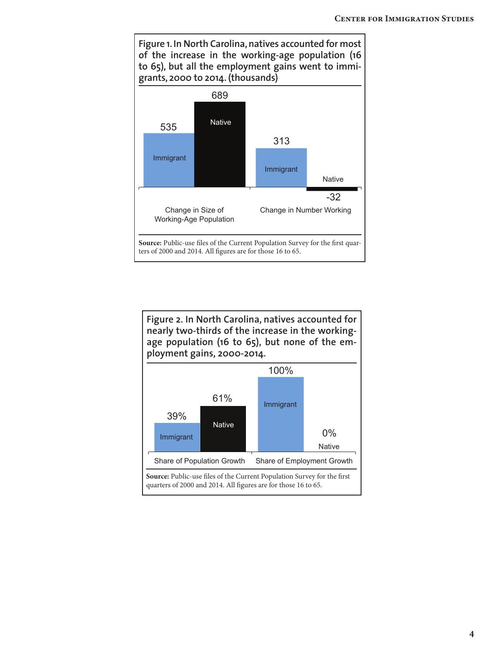

**Figure 2. In North Carolina, natives accounted for nearly two-thirds of the increase in the workingage population (16 to 65), but none of the employment gains, 2000-2014.**

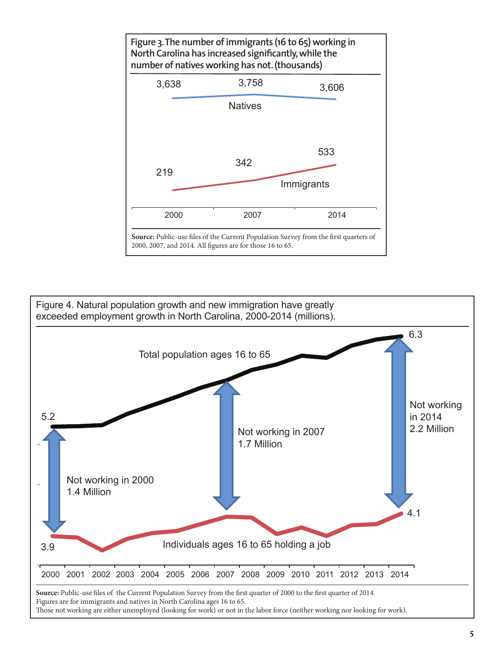

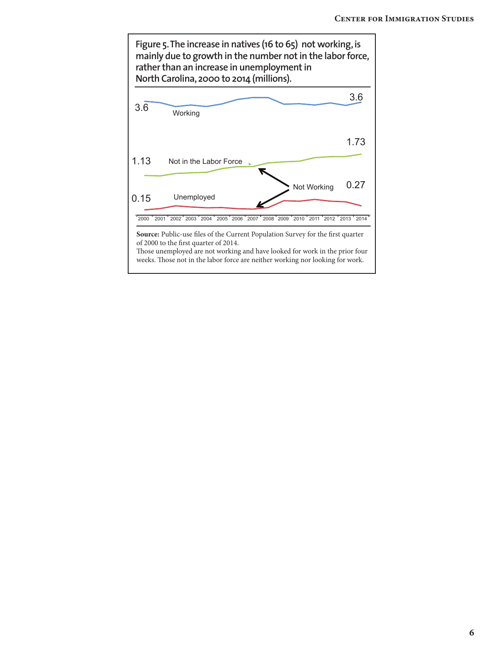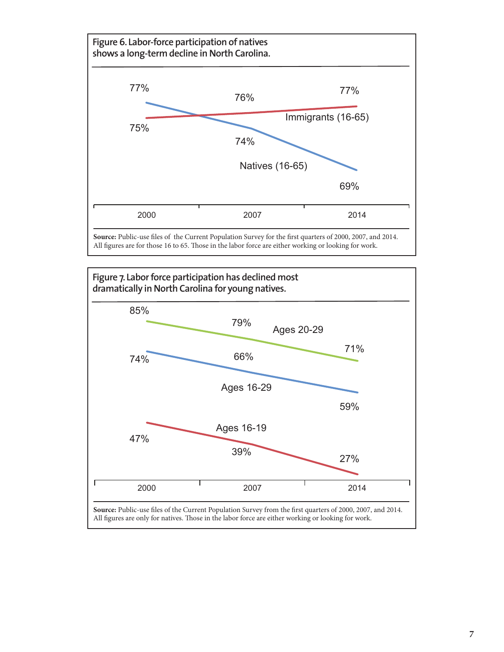